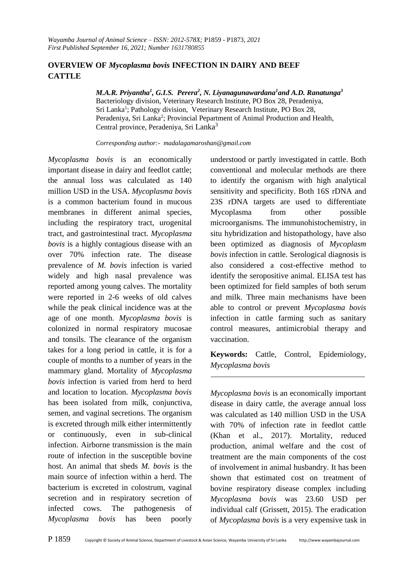### **OVERVIEW OF** *Mycoplasma bovis* **INFECTION IN DAIRY AND BEEF CATTLE**

*M.A.R. Priyantha<sup>1</sup> , G.I.S. Perera<sup>2</sup> , N. Liyanagunawardana<sup>1</sup> and A.D. Ranatunga<sup>3</sup>* Bacteriology division, Veterinary Research Institute, PO Box 28, Peradeniya, Sri Lanka<sup>1</sup>; Pathology division, Veterinary Research Institute, PO Box 28, Peradeniya, Sri Lanka<sup>2</sup>; Provincial Pepartment of Animal Production and Health, Central province, Peradeniya, Sri Lanka<sup>3</sup>

*Corresponding author:- [madalagamaroshan@gmail.com](mailto:madalagamaroshan@gmail.com)*

*Mycoplasma bovis* is an economically important disease in dairy and feedlot cattle; the annual loss was calculated as 140 million USD in the USA. *Mycoplasma bovis*  is a common bacterium found in mucous membranes in different animal species, including the respiratory tract, urogenital tract, and gastrointestinal tract. *Mycoplasma bovis* is a highly contagious disease with an over 70% infection rate. The disease prevalence of *M. bovis* infection is varied widely and high nasal prevalence was reported among young calves. The mortality were reported in 2-6 weeks of old calves while the peak clinical incidence was at the age of one month. *Mycoplasma bovis* is colonized in normal respiratory mucosae and tonsils. The clearance of the organism takes for a long period in cattle, it is for a couple of months to a number of years in the mammary gland. Mortality of *Mycoplasma bovis* infection is varied from herd to herd and location to location. *Mycoplasma bovis*  has been isolated from milk, conjunctiva, semen, and vaginal secretions. The organism is excreted through milk either intermittently or continuously, even in sub-clinical infection. Airborne transmission is the main route of infection in the susceptible bovine host. An animal that sheds *M. bovis* is the main source of infection within a herd. The bacterium is excreted in colostrum, vaginal secretion and in respiratory secretion of infected cows. The pathogenesis of *Mycoplasma bovis* has been poorly

understood or partly investigated in cattle. Both conventional and molecular methods are there to identify the organism with high analytical sensitivity and specificity. Both 16S rDNA and 23S rDNA targets are used to differentiate Mycoplasma from other possible microorganisms. The immunohistochemistry, in situ hybridization and histopathology, have also been optimized as diagnosis of *Mycoplasm bovis* infection in cattle. Serological diagnosis is also considered a cost-effective method to identify the seropositive animal. ELISA test has been optimized for field samples of both serum and milk. Three main mechanisms have been able to control or prevent *Mycoplasma bovis*  infection in cattle farming such as sanitary control measures, antimicrobial therapy and vaccination.

**Keywords:** Cattle, Control, Epidemiology, *Mycoplasma bovis* 

*Mycoplasma bovis* is an economically important disease in dairy cattle, the average annual loss was calculated as 140 million USD in the USA with 70% of infection rate in feedlot cattle (Khan et al., 2017). Mortality, reduced production, animal welfare and the cost of treatment are the main components of the cost of involvement in animal husbandry. It has been shown that estimated cost on treatment of bovine respiratory disease complex including *Mycoplasma bovis* was 23.60 USD per individual calf (Grissett, 2015). The eradication of *Mycoplasma bovis* is a very expensive task in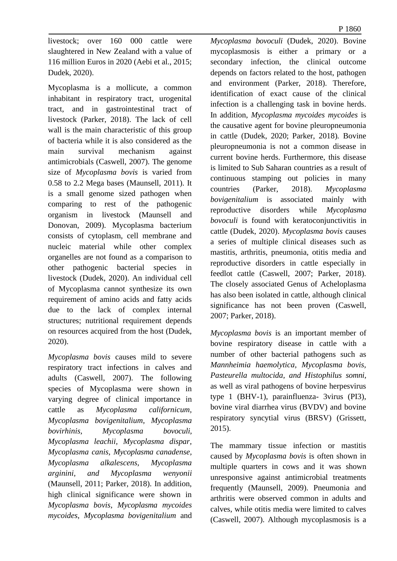P 1860

livestock; over 160 000 cattle were slaughtered in New Zealand with a value of 116 million Euros in 2020 (Aebi et al., 2015; Dudek, 2020).

Mycoplasma is a mollicute, a common inhabitant in respiratory tract, urogenital tract, and in gastrointestinal tract of livestock (Parker, 2018). The lack of cell wall is the main characteristic of this group of bacteria while it is also considered as the main survival mechanism against antimicrobials (Caswell, 2007). The genome size of *Mycoplasma bovis* is varied from 0.58 to 2.2 Mega bases (Maunsell, 2011). It is a small genome sized pathogen when comparing to rest of the pathogenic organism in livestock (Maunsell and Donovan, 2009). Mycoplasma bacterium consists of cytoplasm, cell membrane and nucleic material while other complex organelles are not found as a comparison to other pathogenic bacterial species in livestock (Dudek, 2020). An individual cell of Mycoplasma cannot synthesize its own requirement of amino acids and fatty acids due to the lack of complex internal structures; nutritional requirement depends on resources acquired from the host (Dudek, 2020).

*Mycoplasma bovis* causes mild to severe respiratory tract infections in calves and adults (Caswell, 2007). The following species of Mycoplasma were shown in varying degree of clinical importance in cattle as *Mycoplasma californicum, Mycoplasma bovigenitalium, Mycoplasma bovirhinis, Mycoplasma bovoculi, Mycoplasma leachii, Mycoplasma dispar, Mycoplasma canis, Mycoplasma canadense, Mycoplasma alkalescens, Mycoplasma arginini, and Mycoplasma wenyonii*  (Maunsell, 2011; Parker, 2018). In addition, high clinical significance were shown in *Mycoplasma bovis*, *Mycoplasma mycoides mycoides*, *Mycoplasma bovigenitalium* and *Mycoplasma bovoculi* (Dudek, 2020). Bovine mycoplasmosis is either a primary or a secondary infection, the clinical outcome depends on factors related to the host, pathogen and environment (Parker, 2018). Therefore, identification of exact cause of the clinical infection is a challenging task in bovine herds. In addition, *Mycoplasma mycoides mycoides* is the causative agent for bovine pleuropneumonia in cattle (Dudek, 2020; Parker, 2018)*.* Bovine pleuropneumonia is not a common disease in current bovine herds. Furthermore, this disease is limited to Sub Saharan countries as a result of continuous stamping out policies in many countries (Parker, 2018). *Mycoplasma bovigenitalium* is associated mainly with reproductive disorders while *Mycoplasma bovoculi* is found with keratoconjunctivitis in cattle (Dudek, 2020). *Mycoplasma bovis* causes a series of multiple clinical diseases such as mastitis, arthritis, pneumonia, otitis media and reproductive disorders in cattle especially in feedlot cattle (Caswell, 2007; Parker, 2018). The closely associated Genus of Acheloplasma has also been isolated in cattle, although clinical significance has not been proven (Caswell, 2007; Parker, 2018).

*Mycoplasma bovis* is an important member of bovine respiratory disease in cattle with a number of other bacterial pathogens such as *Mannheimia haemolytica, Mycoplasma bovis, Pasteurella multocida, and Histophilus somni,*  as well as viral pathogens of bovine herpesvirus type 1 (BHV-1), parainfluenza- 3virus (PI3), bovine viral diarrhea virus (BVDV) and bovine respiratory syncytial virus (BRSV) (Grissett, 2015).

The mammary tissue infection or mastitis caused by *Mycoplasma bovis* is often shown in multiple quarters in cows and it was shown unresponsive against antimicrobial treatments frequently (Maunsell, 2009). Pneumonia and arthritis were observed common in adults and calves, while otitis media were limited to calves (Caswell, 2007). Although mycoplasmosis is a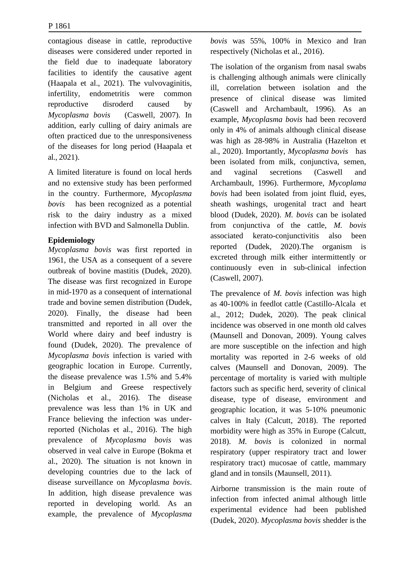contagious disease in cattle, reproductive diseases were considered under reported in the field due to inadequate laboratory facilities to identify the causative agent (Haapala et al., 2021). The vulvovaginitis, infertility, endometritis were common reproductive disroderd caused by *Mycoplasma bovis* (Caswell, 2007). In addition, early culling of dairy animals are often practiced due to the unresponsiveness of the diseases for long period (Haapala et al., 2021).

A limited literature is found on local herds and no extensive study has been performed in the country. Furthermore, *Mycoplasma bovis* has been recognized as a potential risk to the dairy industry as a mixed infection with BVD and Salmonella Dublin.

### **Epidemiology**

*Mycoplasma bovis* was first reported in 1961, the USA as a consequent of a severe outbreak of bovine mastitis (Dudek, 2020). The disease was first recognized in Europe in mid-1970 as a consequent of international trade and bovine semen distribution (Dudek, 2020). Finally, the disease had been transmitted and reported in all over the World where dairy and beef industry is found (Dudek, 2020). The prevalence of *Mycoplasma bovis* infection is varied with geographic location in Europe. Currently, the disease prevalence was 1.5% and 5.4% in Belgium and Greese respectively (Nicholas et al., 2016). The disease prevalence was less than 1% in UK and France believing the infection was underreported (Nicholas et al., 2016). The high prevalence of *Mycoplasma bovis* was observed in veal calve in Europe (Bokma et al., 2020). The situation is not known in developing countries due to the lack of disease surveillance on *Mycoplasma bovis*. In addition, high disease prevalence was reported in developing world. As an example, the prevalence of *Mycoplasma*  *bovis* was 55%, 100% in Mexico and Iran respectively (Nicholas et al., 2016).

The isolation of the organism from nasal swabs is challenging although animals were clinically ill, correlation between isolation and the presence of clinical disease was limited (Caswell and Archambault, 1996). As an example, *Mycoplasma bovis* had been recoverd only in 4% of animals although clinical disease was high as 28-98% in Australia (Hazelton et al., 2020). Importantly, *Mycoplasma bovis* has been isolated from milk, conjunctiva, semen, and vaginal secretions (Caswell and Archambault, 1996). Furthermore, *Mycoplama bovis* had been isolated from joint fluid, eyes, sheath washings, urogenital tract and heart blood (Dudek, 2020). *M. bovis* can be isolated from conjunctiva of the cattle, *M. bovis*  associated kerato-conjunctivitis also been reported (Dudek, 2020).The organism is excreted through milk either intermittently or continuously even in sub-clinical infection (Caswell, 2007).

The prevalence of *M. bovis* infection was high as 40-100% in feedlot cattle (Castillo-Alcala et al., 2012; Dudek, 2020). The peak clinical incidence was observed in one month old calves (Maunsell and Donovan, 2009). Young calves are more susceptible on the infection and high mortality was reported in 2-6 weeks of old calves (Maunsell and Donovan, 2009). The percentage of mortality is varied with multiple factors such as specific herd, severity of clinical disease, type of disease, environment and geographic location, it was 5-10% pneumonic calves in Italy (Calcutt, 2018). The reported morbidity were high as 35% in Europe (Calcutt, 2018). *M. bovis* is colonized in normal respiratory (upper respiratory tract and lower respiratory tract) mucosae of cattle, mammary gland and in tonsils (Maunsell, 2011).

Airborne transmission is the main route of infection from infected animal although little experimental evidence had been published (Dudek, 2020). *Mycoplasma bovis* shedder is the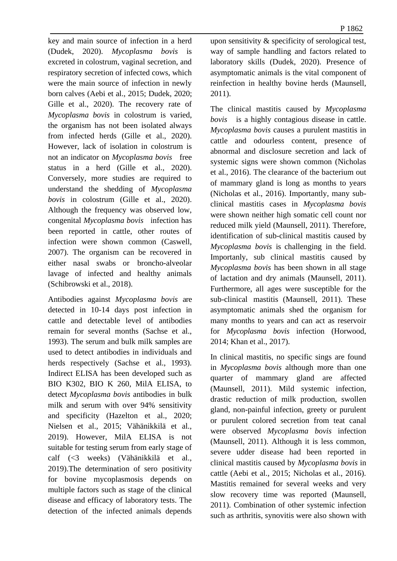P 1862

key and main source of infection in a herd (Dudek, 2020). *Mycoplasma bovis* is excreted in colostrum, vaginal secretion, and respiratory secretion of infected cows, which were the main source of infection in newly born calves (Aebi et al., 2015; Dudek, 2020; Gille et al., 2020). The recovery rate of *Mycoplasma bovis* in colostrum is varied, the organism has not been isolated always from infected herds (Gille et al., 2020). However, lack of isolation in colostrum is not an indicator on *Mycoplasma bovis* free status in a herd (Gille et al., 2020). Conversely, more studies are required to understand the shedding of *Mycoplasma bovis* in colostrum (Gille et al., 2020). Although the frequency was observed low, congenital *Mycoplasma bovis* infection has been reported in cattle, other routes of infection were shown common (Caswell, 2007). The organism can be recovered in either nasal swabs or broncho-alveolar lavage of infected and healthy animals (Schibrowski et al., 2018).

Antibodies against *Mycoplasma bovis* are detected in 10-14 days post infection in cattle and detectable level of antibodies remain for several months (Sachse et al., 1993). The serum and bulk milk samples are used to detect antibodies in individuals and herds respectively (Sachse et al., 1993). Indirect ELISA has been developed such as BIO K302, BIO K 260, MilA ELISA, to detect *Mycoplasma bovis* antibodies in bulk milk and serum with over 94% sensitivity and specificity (Hazelton et al., 2020; Nielsen et al., 2015; Vähänikkilä et al., 2019). However, MilA ELISA is not suitable for testing serum from early stage of calf (<3 weeks) (Vähänikkilä et al., 2019).The determination of sero positivity for bovine mycoplasmosis depends on multiple factors such as stage of the clinical disease and efficacy of laboratory tests. The detection of the infected animals depends

upon sensitivity & specificity of serological test, way of sample handling and factors related to laboratory skills (Dudek, 2020). Presence of asymptomatic animals is the vital component of reinfection in healthy bovine herds (Maunsell, 2011).

The clinical mastitis caused by *Mycoplasma bovis* is a highly contagious disease in cattle. *Mycoplasma bovis* causes a purulent mastitis in cattle and odourless content, presence of abnormal and disclosure secretion and lack of systemic signs were shown common (Nicholas et al., 2016). The clearance of the bacterium out of mammary gland is long as months to years (Nicholas et al., 2016). Importantly, many subclinical mastitis cases in *Mycoplasma bovis*  were shown neither high somatic cell count nor reduced milk yield (Maunsell, 2011). Therefore, identification of sub-clinical mastitis caused by *Mycoplasma bovis* is challenging in the field. Importanly, sub clinical mastitis caused by *Mycoplasma bovis* has been shown in all stage of lactation and dry animals (Maunsell, 2011). Furthermore, all ages were susceptible for the sub-clinical mastitis (Maunsell, 2011). These asymptomatic animals shed the organism for many months to years and can act as reservoir for *Mycoplasma bovis* infection (Horwood, 2014; Khan et al., 2017).

In clinical mastitis, no specific sings are found in *Mycoplasma bovis* although more than one quarter of mammary gland are affected (Maunsell, 2011). Mild systemic infection, drastic reduction of milk production, swollen gland, non-painful infection, greety or purulent or purulent colored secretion from teat canal were observed *Mycoplasma bovis* infection (Maunsell, 2011). Although it is less common, severe udder disease had been reported in clinical mastitis caused by *Mycoplasma bovis* in cattle (Aebi et al., 2015; Nicholas et al., 2016). Mastitis remained for several weeks and very slow recovery time was reported (Maunsell, 2011). Combination of other systemic infection such as arthritis, synovitis were also shown with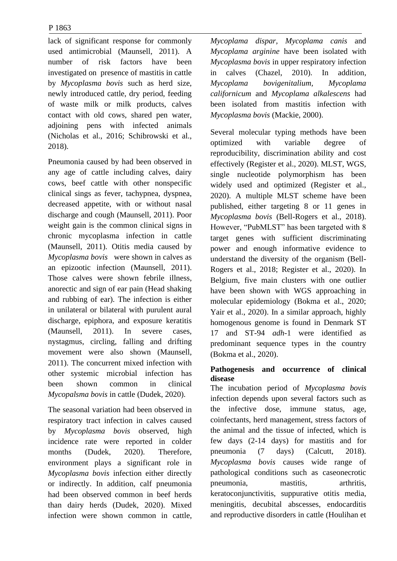lack of significant response for commonly used antimicrobial (Maunsell, 2011). A number of risk factors have been investigated on presence of mastitis in cattle by *Mycoplasma bovis* such as herd size, newly introduced cattle, dry period, feeding of waste milk or milk products, calves contact with old cows, shared pen water, adjoining pens with infected animals (Nicholas et al., 2016; Schibrowski et al., 2018).

Pneumonia caused by had been observed in any age of cattle including calves, dairy cows, beef cattle with other nonspecific clinical sings as fever, tachypnea, dyspnea, decreased appetite, with or without nasal discharge and cough (Maunsell, 2011). Poor weight gain is the common clinical signs in chronic mycoplasma infection in cattle (Maunsell, 2011). Otitis media caused by *Mycoplasma bovis* were shown in calves as an epizootic infection (Maunsell, 2011). Those calves were shown febrile illness, anorectic and sign of ear pain (Head shaking and rubbing of ear). The infection is either in unilateral or bilateral with purulent aural discharge, epiphora, and exposure keratitis (Maunsell, 2011). In severe cases, nystagmus, circling, falling and drifting movement were also shown (Maunsell, 2011). The concurrent mixed infection with other systemic microbial infection has been shown common in clinical *Mycopalsma bovis* in cattle (Dudek, 2020).

The seasonal variation had been observed in respiratory tract infection in calves caused by *Mycoplasma bovis* observed, high incidence rate were reported in colder months (Dudek, 2020). Therefore, environment plays a significant role in *Mycoplasma bovis* infection either directly or indirectly. In addition, calf pneumonia had been observed common in beef herds than dairy herds (Dudek, 2020). Mixed infection were shown common in cattle, *Mycoplama dispar, Mycoplama canis* and *Mycoplama arginine* have been isolated with *Mycoplasma bovis* in upper respiratory infection in calves (Chazel, 2010). In addition*, Mycoplama bovigenitalium, Mycoplama californicum* and *Mycoplama alkalescens* had been isolated from mastitis infection with *Mycoplasma bovis* (Mackie, 2000).

Several molecular typing methods have been optimized with variable degree of reproducibility, discrimination ability and cost effectively (Register et al., 2020). MLST, WGS, single nucleotide polymorphism has been widely used and optimized (Register et al., 2020). A multiple MLST scheme have been published, either targeting 8 or 11 genes in *Mycoplasma bovis* (Bell-Rogers et al., 2018). However, "PubMLST" has been targeted with 8 target genes with sufficient discriminating power and enough informative evidence to understand the diversity of the organism (Bell-Rogers et al., 2018; Register et al., 2020). In Belgium, five main clusters with one outlier have been shown with WGS approaching in molecular epidemiology (Bokma et al., 2020; Yair et al., 2020). In a similar approach, highly homogenous genome is found in Denmark ST 17 and ST-94 *adh*-1 were identified as predominant sequence types in the country (Bokma et al., 2020).

### **Pathogenesis and occurrence of clinical disease**

The incubation period of *Mycoplasma bovis*  infection depends upon several factors such as the infective dose, immune status, age, coinfectants, herd management, stress factors of the animal and the tissue of infected, which is few days (2-14 days) for mastitis and for pneumonia (7 days) (Calcutt, 2018). *Mycoplasma bovis* causes wide range of pathological conditions such as caseonecrotic pneumonia, mastitis, arthritis, keratoconjunctivitis, suppurative otitis media, meningitis, decubital abscesses, endocarditis and reproductive disorders in cattle (Houlihan et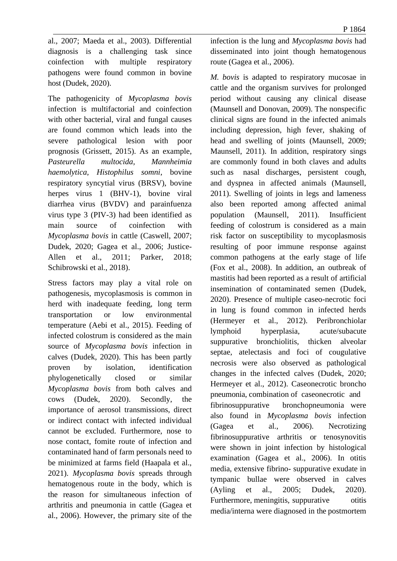al., 2007; Maeda et al., 2003). Differential diagnosis is a challenging task since coinfection with multiple respiratory pathogens were found common in bovine host (Dudek, 2020).

The pathogenicity of *Mycoplasma bovis*  infection is multifactorial and coinfection with other bacterial, viral and fungal causes are found common which leads into the severe pathological lesion with poor prognosis (Grissett, 2015). As an example, *Pasteurella multocida, Mannheimia haemolytica, Histophilus somni*, bovine respiratory syncytial virus (BRSV), bovine herpes virus 1 (BHV-1), bovine viral diarrhea virus (BVDV) and parainfuenza virus type 3 (PIV-3) had been identified as main source of coinfection with *Mycoplasma bovis* in cattle (Caswell, 2007; Dudek, 2020; Gagea et al., 2006; Justice-Allen et al., 2011; Parker, 2018; Schibrowski et al., 2018).

Stress factors may play a vital role on pathogenesis, mycoplasmosis is common in herd with inadequate feeding, long term transportation or low environmental temperature (Aebi et al., 2015). Feeding of infected colostrum is considered as the main source of *Mycoplasma bovis* infection in calves (Dudek, 2020). This has been partly proven by isolation, identification phylogenetically closed or similar *Mycoplasma bovis* from both calves and cows (Dudek, 2020). Secondly, the importance of aerosol transmissions, direct or indirect contact with infected individual cannot be excluded. Furthermore, nose to nose contact, fomite route of infection and contaminated hand of farm personals need to be minimized at farms field (Haapala et al., 2021). *Mycoplasma bovis* spreads through hematogenous route in the body, which is the reason for simultaneous infection of arthritis and pneumonia in cattle (Gagea et al., 2006). However, the primary site of the infection is the lung and *Mycoplasma bovis* had disseminated into joint though hematogenous route (Gagea et al., 2006).

*M. bovis* is adapted to respiratory mucosae in cattle and the organism survives for prolonged period without causing any clinical disease (Maunsell and Donovan, 2009). The nonspecific clinical signs are found in the infected animals including depression, high fever, shaking of head and swelling of joints (Maunsell, 2009; Maunsell, 2011). In addition, respiratory sings are commonly found in both claves and adults such as nasal discharges, persistent cough, and dyspnea in affected animals (Maunsell, 2011). Swelling of joints in legs and lameness also been reported among affected animal population (Maunsell, 2011). Insufficient feeding of colostrum is considered as a main risk factor on susceptibility to mycoplasmosis resulting of poor immune response against common pathogens at the early stage of life (Fox et al., 2008). In addition, an outbreak of mastitis had been reported as a result of artificial insemination of contaminated semen (Dudek, 2020). Presence of multiple caseo-necrotic foci in lung is found common in infected herds (Hermeyer et al., 2012). Peribronchiolar lymphoid hyperplasia, acute/subacute suppurative bronchiolitis, thicken alveolar septae, atelectasis and foci of cougulative necrosis were also observed as pathological changes in the infected calves (Dudek, 2020; Hermeyer et al., 2012). Caseonecrotic broncho pneumonia, combination of caseonecrotic and fibrinosuppurative bronchopneumonia were also found in *Mycoplasma bovis* infection (Gagea et al., 2006). Necrotizing fibrinosuppurative arthritis or tenosynovitis were shown in joint infection by histological examination (Gagea et al., 2006). In otitis media, extensive fibrino- suppurative exudate in tympanic bullae were observed in calves (Ayling et al., 2005; Dudek, 2020). Furthermore, meningitis, suppurative otitis media/interna were diagnosed in the postmortem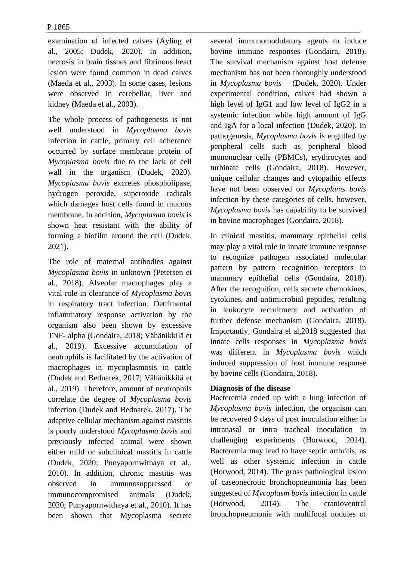examination of infected calves (Ayling et al., 2005; Dudek, 2020). In addition, necrosis in brain tissues and fibrinous heart lesion were found common in dead calves (Maeda et al., 2003). In some cases, lesions were observed in cerebellar, liver and kidney (Maeda et al., 2003).

The whole process of pathogenesis is not well understood in *Mycoplasma bovis*  infection in cattle, primary cell adherence occurred by surface membrane protein of *Mycoplasma bovis* due to the lack of cell wall in the organism (Dudek, 2020). *Mycoplasma bovis* excretes phospholipase, hydrogen peroxide, superoxide radicals which damages host cells found in mucous membrane. In addition, *Mycoplasma bovis* is shown heat resistant with the ability of forming a biofilm around the cell (Dudek, 2021).

The role of maternal antibodies against *Mycoplasma bovis* in unknown (Petersen et al., 2018). Alveolar macrophages play a vital role in clearance of *Mycoplasma bovis*  in respiratory tract infection. Detrimental inflammatory response activation by the organism also been shown by excessive TNF- alpha (Gondaira, 2018; Vähänikkilä et al., 2019). Excessive accumulation of neutrophils is facilitated by the activation of macrophages in mycoplasmosis in cattle (Dudek and Bednarek, 2017; Vähänikkilä et al., 2019). Therefore, amount of neutrophils correlate the degree of *Mycoplasma bovis*  infection (Dudek and Bednarek, 2017). The adaptive cellular mechanism against mastitis is poorly understood *Mycoplasma bovis* and previously infected animal were shown either mild or subclinical mastitis in cattle (Dudek, 2020; Punyapornwithaya et al., 2010). In addition, chronic mastitis was observed in immunosuppressed or immunocompromised animals (Dudek, 2020; Punyapornwithaya et al., 2010). It has been shown that Mycoplasma secrete

several immunomodulatory agents to induce bovine immune responses (Gondaira, 2018). The survival mechanism against host defense mechanism has not been thoroughly understood in *Mycoplasma bovis* (Dudek, 2020). Under experimental condition, calves had shown a high level of IgG1 and low level of IgG2 in a systemic infection while high amount of IgG and IgA for a local infection (Dudek, 2020). In pathogenesis, *Mycoplasma bovis* is engulfed by peripheral cells such as peripheral blood mononuclear cells (PBMCs), erythrocytes and turbinate cells (Gondaira, 2018). However, unique cellular changes and cytopathic effects have not been observed on *Mycoplams bovis*  infection by these categories of cells, however, *Mycoplasma bovis* has capability to be survived in bovine macrophages (Gondaira, 2018).

In clinical mastitis, mammary epithelial cells may play a vital role in innate immune response to recognize pathogen associated molecular pattern by pattern recognition receptors in mammary epithelial cells (Gondaira, 2018). After the recognition, cells secrete chemokines, cytokines, and antimicrobial peptides, resulting in leukocyte recruitment and activation of further defense mechanism (Gondaira, 2018). Importantly, Gondaira el al,2018 suggested that innate cells responses in *Mycoplasma bovis*  was different in *Mycoplasma bovis* which induced suppression of host immune response by bovine cells (Gondaira, 2018).

### **Diagnosis of the disease**

Bacteremia ended up with a lung infection of *Mycoplasma bovis* infection, the organism can be recovered 9 days of post inoculation either in intranasal or intra tracheal inoculation in challenging experiments (Horwood, 2014). Bacteremia may lead to have septic arthritis, as well as other systemic infection in cattle (Horwood, 2014). The gross pathological lesion of caseonecrotic bronchopneumonia has been suggested of *Mycoplasm bovis* infection in cattle (Horwood, 2014). The cranioventral bronchopneumonia with multifocal nodules of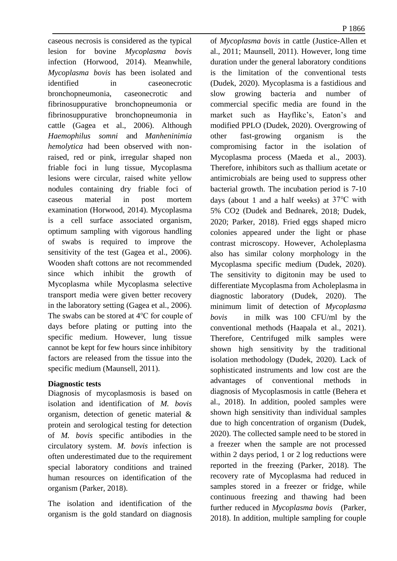caseous necrosis is considered as the typical lesion for bovine *Mycoplasma bovis*  infection (Horwood, 2014). Meanwhile, *Mycoplasma bovis* has been isolated and identified in caseonecrotic bronchopneumonia, caseonecrotic and fibrinosuppurative bronchopneumonia or fibrinosuppurative bronchopneumonia in cattle (Gagea et al., 2006). Although *Haemophilus somni* and *Manheninimia hemolytica* had been observed with nonraised, red or pink, irregular shaped non friable foci in lung tissue, Mycoplasma lesions were circular, raised white yellow nodules containing dry friable foci of caseous material in post mortem examination (Horwood, 2014). Mycoplasma is a cell surface associated organism, optimum sampling with vigorous handling of swabs is required to improve the sensitivity of the test (Gagea et al., 2006). Wooden shaft cottons are not recommended since which inhibit the growth of Mycoplasma while Mycoplasma selective transport media were given better recovery in the laboratory setting (Gagea et al., 2006). The swabs can be stored at 4℃ for couple of days before plating or putting into the specific medium. However, lung tissue cannot be kept for few hours since inhibitory factors are released from the tissue into the specific medium (Maunsell, 2011).

### **Diagnostic tests**

Diagnosis of mycoplasmosis is based on isolation and identification of *M. bovis*  organism, detection of genetic material & protein and serological testing for detection of *M. bovis* specific antibodies in the circulatory system. *M. bovis* infection is often underestimated due to the requirement special laboratory conditions and trained human resources on identification of the organism (Parker, 2018).

The isolation and identification of the organism is the gold standard on diagnosis of *Mycoplasma bovis* in cattle (Justice-Allen et al., 2011; Maunsell, 2011). However, long time duration under the general laboratory conditions is the limitation of the conventional tests (Dudek, 2020). Mycoplasma is a fastidious and slow growing bacteria and number of commercial specific media are found in the market such as Hayflikc's, Eaton's and modified PPLO (Dudek, 2020). Overgrowing of other fast-growing organism is the compromising factor in the isolation of Mycoplasma process (Maeda et al., 2003). Therefore, inhibitors such as thallium acetate or antimicrobials are being used to suppress other bacterial growth. The incubation period is 7-10 days (about 1 and a half weeks) at 37℃ with 5% CO2 (Dudek and Bednarek, 2018; Dudek, 2020; Parker, 2018). Fried eggs shaped micro colonies appeared under the light or phase contrast microscopy. However, Acholeplasma also has similar colony morphology in the Mycoplasma specific medium (Dudek, 2020). The sensitivity to digitonin may be used to differentiate Mycoplasma from Acholeplasma in diagnostic laboratory (Dudek, 2020). The minimum limit of detection of *Mycoplasma bovis* in milk was 100 CFU/ml by the conventional methods (Haapala et al., 2021). Therefore, Centrifuged milk samples were shown high sensitivity by the traditional isolation methodology (Dudek, 2020). Lack of sophisticated instruments and low cost are the advantages of conventional methods in diagnosis of Mycoplasmosis in cattle (Behera et al., 2018). In addition, pooled samples were shown high sensitivity than individual samples due to high concentration of organism (Dudek, 2020). The collected sample need to be stored in a freezer when the sample are not processed within 2 days period, 1 or 2 log reductions were reported in the freezing (Parker, 2018). The recovery rate of Mycoplasma had reduced in samples stored in a freezer or fridge, while continuous freezing and thawing had been further reduced in *Mycoplasma bovis* (Parker, 2018). In addition, multiple sampling for couple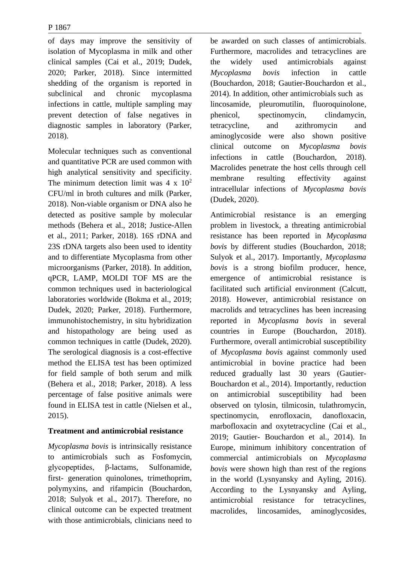of days may improve the sensitivity of isolation of Mycoplasma in milk and other clinical samples (Cai et al., 2019; Dudek, 2020; Parker, 2018). Since intermitted shedding of the organism is reported in subclinical and chronic mycoplasma infections in cattle, multiple sampling may prevent detection of false negatives in diagnostic samples in laboratory (Parker, 2018).

Molecular techniques such as conventional and quantitative PCR are used common with high analytical sensitivity and specificity. The minimum detection limit was  $4 \times 10^2$ CFU/ml in broth cultures and milk (Parker, 2018). Non-viable organism or DNA also he detected as positive sample by molecular methods (Behera et al., 2018; Justice-Allen et al., 2011; Parker, 2018). 16S rDNA and 23S rDNA targets also been used to identity and to differentiate Mycoplasma from other microorganisms (Parker, 2018). In addition, qPCR, LAMP, MOLDI TOF MS are the common techniques used in bacteriological laboratories worldwide (Bokma et al., 2019; Dudek, 2020; Parker, 2018). Furthermore, immunohistochemistry, in situ hybridization and histopathology are being used as common techniques in cattle (Dudek, 2020). The serological diagnosis is a cost-effective method the ELISA test has been optimized for field sample of both serum and milk (Behera et al., 2018; Parker, 2018). A less percentage of false positive animals were found in ELISA test in cattle (Nielsen et al., 2015).

## **Treatment and antimicrobial resistance**

*Mycoplasma bovis* is intrinsically resistance to antimicrobials such as Fosfomycin, glycopeptides, β-lactams, Sulfonamide, first- generation quinolones, trimethoprim, polymyxins, and rifampicin (Bouchardon, 2018; Sulyok et al., 2017). Therefore, no clinical outcome can be expected treatment with those antimicrobials, clinicians need to

be awarded on such classes of antimicrobials. Furthermore, macrolides and tetracyclines are the widely used antimicrobials against *Mycoplasma bovis* infection in cattle (Bouchardon, 2018; Gautier-Bouchardon et al., 2014). In addition, other antimicrobials such as lincosamide, pleuromutilin, fluoroquinolone, phenicol, spectinomycin, clindamycin, tetracycline, and azithromycin and aminoglycoside were also shown positive clinical outcome on *Mycoplasma bovis*  infections in cattle (Bouchardon, 2018). Macrolides penetrate the host cells through cell membrane resulting effectivity against intracellular infections of *Mycoplasma bovis*  (Dudek, 2020).

Antimicrobial resistance is an emerging problem in livestock, a threating antimicrobial resistance has been reported in *Mycoplasma bovis* by different studies (Bouchardon, 2018; Sulyok et al., 2017). Importantly, *Mycoplasma bovis* is a strong biofilm producer, hence, emergence of antimicrobial resistance is facilitated such artificial environment (Calcutt, 2018). However, antimicrobial resistance on macrolids and tetracyclines has been increasing reported in *Mycoplasma bovis* in several countries in Europe (Bouchardon, 2018). Furthermore, overall antimicrobial susceptibility of *Mycoplasma bovis* against commonly used antimicrobial in bovine practice had been reduced gradually last 30 years (Gautier-Bouchardon et al., 2014). Importantly, reduction on antimicrobial susceptibility had been observed on tylosin, tilmicosin, tulathromycin, spectinomycin, enrofloxacin, danofloxacin, marbofloxacin and oxytetracycline (Cai et al., 2019; Gautier- Bouchardon et al., 2014). In Europe, minimum inhibitory concentration of commercial antimicrobials on *Mycoplasma bovis* were shown high than rest of the regions in the world (Lysnyansky and Ayling, 2016). According to the Lysnyansky and Ayling, antimicrobial resistance for tetracyclines, macrolides, lincosamides, aminoglycosides,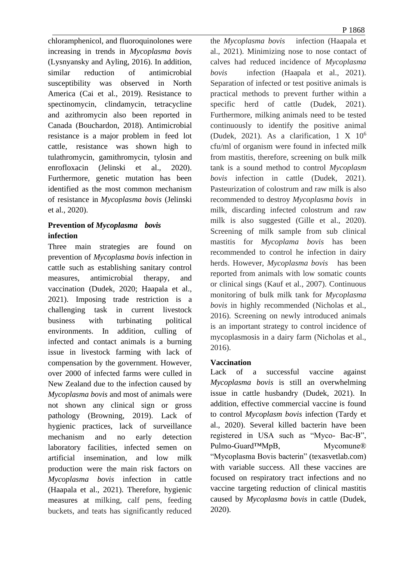chloramphenicol, and fluoroquinolones were increasing in trends in *Mycoplasma bovis*  (Lysnyansky and Ayling, 2016). In addition, similar reduction of antimicrobial susceptibility was observed in North America (Cai et al., 2019). Resistance to spectinomycin, clindamycin, tetracycline and azithromycin also been reported in Canada (Bouchardon, 2018). Antimicrobial resistance is a major problem in feed lot cattle, resistance was shown high to tulathromycin, gamithromycin, tylosin and enrofloxacin (Jelinski et al., 2020). Furthermore, genetic mutation has been identified as the most common mechanism of resistance in *Mycoplasma bovis* (Jelinski et al., 2020).

# **Prevention of** *Mycoplasma bovis*  **infection**

Three main strategies are found on prevention of *Mycoplasma bovis* infection in cattle such as establishing sanitary control measures, antimicrobial therapy, and vaccination (Dudek, 2020; Haapala et al., 2021). Imposing trade restriction is a challenging task in current livestock business with turbinating political environments. In addition, culling of infected and contact animals is a burning issue in livestock farming with lack of compensation by the government. However, over 2000 of infected farms were culled in New Zealand due to the infection caused by *Mycoplasma bovis* and most of animals were not shown any clinical sign or gross pathology (Browning, 2019). Lack of hygienic practices, lack of surveillance mechanism and no early detection laboratory facilities, infected semen on artificial insemination, and low milk production were the main risk factors on *Mycoplasma bovis* infection in cattle (Haapala et al., 2021). Therefore, hygienic measures at milking, calf pens, feeding buckets, and teats has significantly reduced P 1868

the *Mycoplasma bovis* infection (Haapala et al., 2021). Minimizing nose to nose contact of calves had reduced incidence of *Mycoplasma bovis* infection (Haapala et al., 2021). Separation of infected or test positive animals is practical methods to prevent further within a specific herd of cattle (Dudek, 2021). Furthermore, milking animals need to be tested continuously to identify the positive animal (Dudek, 2021). As a clarification, 1 X 10<sup>6</sup> cfu/ml of organism were found in infected milk from mastitis, therefore, screening on bulk milk tank is a sound method to control *Mycoplasm bovis* infection in cattle (Dudek, 2021). Pasteurization of colostrum and raw milk is also recommended to destroy *Mycoplasma bovis* in milk, discarding infected colostrum and raw milk is also suggested (Gille et al., 2020). Screening of milk sample from sub clinical mastitis for *Mycoplama bovis* has been recommended to control he infection in dairy herds. However, *Mycoplasma bovis* has been reported from animals with low somatic counts or clinical sings (Kauf et al., 2007). Continuous monitoring of bulk milk tank for *Mycoplasma bovis* in highly recommended (Nicholas et al., 2016). Screening on newly introduced animals is an important strategy to control incidence of mycoplasmosis in a dairy farm (Nicholas et al., 2016).

## **Vaccination**

Lack of a successful vaccine against *Mycoplasma bovis* is still an overwhelming issue in cattle husbandry (Dudek, 2021). In addition, effective commercial vaccine is found to control *Mycoplasm bovis* infection (Tardy et al., 2020). Several killed bacterin have been registered in USA such as "Myco- Bac-B", Pulmo-Guard™MpB, Mycomune® "Mycoplasma Bovis bacterin" (texasvetlab.com) with variable success. All these vaccines are focused on respiratory tract infections and no vaccine targeting reduction of clinical mastitis caused by *Mycoplasma bovis* in cattle (Dudek, 2020).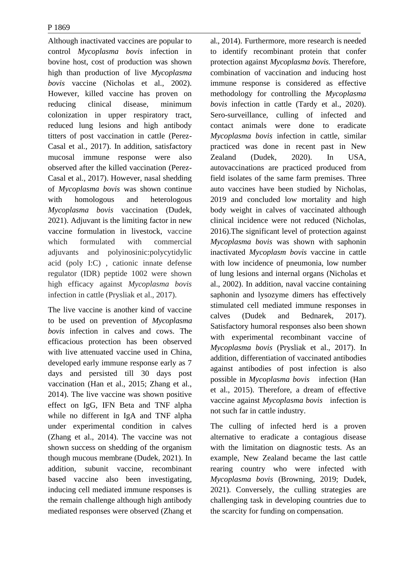Although inactivated vaccines are popular to control *Mycoplasma bovis* infection in bovine host, cost of production was shown high than production of live *Mycoplasma bovis* vaccine (Nicholas et al., 2002). However, killed vaccine has proven on reducing clinical disease, minimum colonization in upper respiratory tract, reduced lung lesions and high antibody titters of post vaccination in cattle (Perez-Casal et al., 2017). In addition, satisfactory mucosal immune response were also observed after the killed vaccination (Perez-Casal et al., 2017). However, nasal shedding of *Mycoplasma bovis* was shown continue with homologous and heterologous *Mycoplasma bovis* vaccination (Dudek, 2021). Adjuvant is the limiting factor in new vaccine formulation in livestock, vaccine which formulated with commercial adjuvants and polyinosinic:polycytidylic acid (poly I:C) , cationic innate defense regulator (IDR) peptide 1002 were shown high efficacy against *Mycoplasma bovis*  infection in cattle (Prysliak et al., 2017).

The live vaccine is another kind of vaccine to be used on prevention of *Mycoplasma bovis* infection in calves and cows. The efficacious protection has been observed with live attenuated vaccine used in China, developed early immune response early as 7 days and persisted till 30 days post vaccination (Han et al., 2015; Zhang et al., 2014). The live vaccine was shown positive effect on IgG, IFN Beta and TNF alpha while no different in IgA and TNF alpha under experimental condition in calves (Zhang et al., 2014). The vaccine was not shown success on shedding of the organism though mucous membrane (Dudek, 2021). In addition, subunit vaccine, recombinant based vaccine also been investigating, inducing cell mediated immune responses is the remain challenge although high antibody mediated responses were observed (Zhang et

al., 2014). Furthermore, more research is needed to identify recombinant protein that confer protection against *Mycoplasma bovis.* Therefore, combination of vaccination and inducing host immune response is considered as effective methodology for controlling the *Mycoplasma bovis* infection in cattle (Tardy et al., 2020). Sero-surveillance, culling of infected and contact animals were done to eradicate *Mycoplasma bovis* infection in cattle, similar practiced was done in recent past in New Zealand (Dudek, 2020). In USA, autovaccinations are practiced produced from field isolates of the same farm premises. Three auto vaccines have been studied by Nicholas, 2019 and concluded low mortality and high body weight in calves of vaccinated although clinical incidence were not reduced (Nicholas, 2016).The significant level of protection against *Mycoplasma bovis* was shown with saphonin inactivated *Mycoplasm bovis* vaccine in cattle with low incidence of pneumonia, low number of lung lesions and internal organs (Nicholas et al., 2002). In addition, naval vaccine containing saphonin and lysozyme dimers has effectively stimulated cell mediated immune responses in calves (Dudek and Bednarek, 2017). Satisfactory humoral responses also been shown with experimental recombinant vaccine of *Mycoplasma bovis* (Prysliak et al., 2017). In addition, differentiation of vaccinated antibodies against antibodies of post infection is also possible in *Mycoplasma bovis* infection (Han et al., 2015). Therefore, a dream of effective vaccine against *Mycoplasma bovis* infection is not such far in cattle industry.

The culling of infected herd is a proven alternative to eradicate a contagious disease with the limitation on diagnostic tests. As an example, New Zealand became the last cattle rearing country who were infected with *Mycoplasma bovis* (Browning, 2019; Dudek, 2021). Conversely, the culling strategies are challenging task in developing countries due to the scarcity for funding on compensation.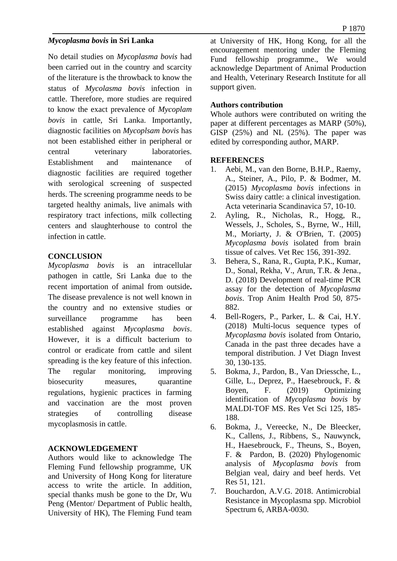### *Mycoplasma bovis* **in Sri Lanka**

No detail studies on *Mycoplasma bovis* had been carried out in the country and scarcity of the literature is the throwback to know the status of *Mycolasma bovis* infection in cattle. Therefore, more studies are required to know the exact prevalence of *Mycoplam bovis* in cattle, Sri Lanka. Importantly, diagnostic facilities on *Mycoplsam bovis* has not been established either in peripheral or central veterinary laboratories. Establishment and maintenance of diagnostic facilities are required together with serological screening of suspected herds. The screening programme needs to be targeted healthy animals, live animals with respiratory tract infections, milk collecting centers and slaughterhouse to control the infection in cattle.

#### **CONCLUSION**

*Mycoplasma bovis* is an intracellular pathogen in cattle, Sri Lanka due to the recent importation of animal from outside**.**  The disease prevalence is not well known in the country and no extensive studies or surveillance programme has been established against *Mycoplasma bovis*. However, it is a difficult bacterium to control or eradicate from cattle and silent spreading is the key feature of this infection. The regular monitoring, improving biosecurity measures, quarantine regulations, hygienic practices in farming and vaccination are the most proven strategies of controlling disease mycoplasmosis in cattle.

### **ACKNOWLEDGEMENT**

Authors would like to acknowledge The Fleming Fund fellowship programme, UK and University of Hong Kong for literature access to write the article. In addition, special thanks mush be gone to the Dr, Wu Peng (Mentor/ Department of Public health, University of HK), The Fleming Fund team at University of HK, Hong Kong, for all the encouragement mentoring under the Fleming Fund fellowship programme., We would acknowledge Department of Animal Production and Health, Veterinary Research Institute for all support given.

### **Authors contribution**

Whole authors were contributed on writing the paper at different percentages as MARP (50%), GISP (25%) and NL (25%). The paper was edited by corresponding author, MARP.

#### **REFERENCES**

- 1. Aebi, M., van den Borne, B.H.P., Raemy, A., Steiner, A., Pilo, P. & Bodmer, M. (2015) *Mycoplasma bovis* infections in Swiss dairy cattle: a clinical investigation. Acta veterinaria Scandinavica 57, 10-10.
- 2. Ayling, R., Nicholas, R., Hogg, R., Wessels, J., Scholes, S., Byrne, W., Hill, M., Moriarty, J. & O'Brien, T. (2005) *Mycoplasma bovis* isolated from brain tissue of calves. Vet Rec 156, 391-392.
- 3. Behera, S., Rana, R., Gupta, P.K., Kumar, D., Sonal, Rekha, V., Arun, T.R. & Jena., D. (2018) Development of real-time PCR assay for the detection of *Mycoplasma bovis*. Trop Anim Health Prod 50, 875- 882.
- 4. Bell-Rogers, P., Parker, L. & Cai, H.Y. (2018) Multi-locus sequence types of *Mycoplasma bovis* isolated from Ontario, Canada in the past three decades have a temporal distribution. J Vet Diagn Invest 30, 130-135.
- 5. Bokma, J., Pardon, B., Van Driessche, L., Gille, L., Deprez, P., Haesebrouck, F. & Boyen, F. (2019) Optimizing identification of *Mycoplasma bovis* by MALDI-TOF MS. Res Vet Sci 125, 185- 188.
- 6. Bokma, J., Vereecke, N., De Bleecker, K., Callens, J., Ribbens, S., Nauwynck, H., Haesebrouck, F., Theuns, S., Boyen, F. & Pardon, B. (2020) Phylogenomic analysis of *Mycoplasma bovis* from Belgian veal, dairy and beef herds. Vet Res 51, 121.
- 7. Bouchardon, A.V.G. 2018. Antimicrobial Resistance in Mycoplasma spp. Microbiol Spectrum 6, ARBA-0030.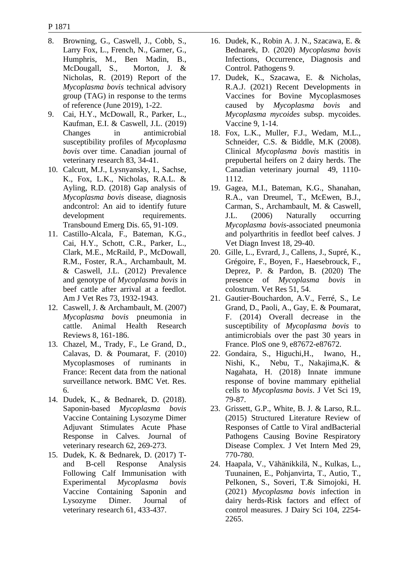- 8. Browning, G., Caswell, J., Cobb, S., Larry Fox, L., French, N., Garner, G., Humphris, M., Ben Madin, B., McDougall, S., Morton, J. & Nicholas, R. (2019) Report of the *Mycoplasma bovis* technical advisory group (TAG) in response to the terms of reference (June 2019), 1-22.
- 9. Cai, H.Y., McDowall, R., Parker, L., Kaufman, E.I. & Caswell, J.L. (2019) Changes in antimicrobial susceptibility profiles of *Mycoplasma bovis* over time. Canadian journal of veterinary research 83, 34-41.
- 10. Calcutt, M.J., Lysnyansky, I., Sachse, K., Fox, L.K., Nicholas, R.A.L. & Ayling, R.D. (2018) Gap analysis of *Mycoplasma bovis* disease, diagnosis andcontrol: An aid to identify future development requirements. Transbound Emerg Dis. 65, 91-109.
- 11. Castillo-Alcala, F., Bateman, K.G., Cai, H.Y., Schott, C.R., Parker, L., Clark, M.E., McRaild, P., McDowall, R.M., Foster, R.A., Archambault, M. & Caswell, J.L. (2012) Prevalence and genotype of *Mycoplasma bovis* in beef cattle after arrival at a feedlot. Am J Vet Res 73, 1932-1943.
- 12. Caswell, J. & Archambault, M. (2007) *Mycoplasma bovis* pneumonia in cattle. Animal Health Research Reviews 8, 161-186.
- 13. Chazel, M., Trady, F., Le Grand, D., Calavas, D. & Poumarat, F. (2010) Mycoplasmoses of ruminants in France: Recent data from the national surveillance network. BMC Vet. Res. 6.
- 14. Dudek, K., & Bednarek, D. (2018). Saponin-based *Mycoplasma bovis* Vaccine Containing Lysozyme Dimer Adjuvant Stimulates Acute Phase Response in Calves. Journal of veterinary research 62, 269-273.
- 15. Dudek, K. & Bednarek, D. (2017) Tand B-cell Response Analysis Following Calf Immunisation with Experimental *Mycoplasma bovis* Vaccine Containing Saponin and Lysozyme Dimer. Journal of veterinary research 61, 433-437.
- 16. Dudek, K., Robin A. J. N., Szacawa, E. & Bednarek, D. (2020) *Mycoplasma bovis* Infections, Occurrence, Diagnosis and Control. Pathogens 9.
- 17. Dudek, K., Szacawa, E. & Nicholas, R.A.J. (2021) Recent Developments in Vaccines for Bovine Mycoplasmoses caused by *Mycoplasma bovis* and *Mycoplasma mycoides* subsp. mycoides. Vaccine 9, 1-14.
- 18. Fox, L.K., Muller, F.J., Wedam, M.L., Schneider, C.S. & Biddle, M.K (2008). Clinical *Mycoplasma bovis* mastitis in prepubertal heifers on 2 dairy herds. The Canadian veterinary journal 49, 1110- 1112.
- 19. Gagea, M.I., Bateman, K.G., Shanahan, R.A., van Dreumel, T., McEwen, B.J., Carman, S., Archambault, M. & Caswell, J.L. (2006) Naturally occurring *Mycoplasma bovis*-associated pneumonia and polyarthritis in feedlot beef calves. J Vet Diagn Invest 18, 29-40.
- 20. Gille, L., Evrard, J., Callens, J., Supré, K., Grégoire, F., Boyen, F., Haesebrouck, F., Deprez, P. & Pardon, B. (2020) The presence of *Mycoplasma bovis* in colostrum. Vet Res 51, 54.
- 21. Gautier-Bouchardon, A.V., Ferré, S., Le Grand, D., Paoli, A., Gay, E. & Poumarat, F. (2014) Overall decrease in the susceptibility of *Mycoplasma bovis* to antimicrobials over the past 30 years in France. PloS one 9, e87672-e87672.
- 22. Gondaira, S., Higuchi,H., Iwano, H., Nishi, K., Nebu, T., Nakajima,K. & Nagahata, H. (2018) Innate immune response of bovine mammary epithelial cells to *Mycoplasma bovis*. J Vet Sci 19, 79-87.
- 23. Grissett, G.P., White, B. J. & Larso, R.L. (2015) Structured Literature Review of Responses of Cattle to Viral andBacterial Pathogens Causing Bovine Respiratory Disease Complex. J Vet Intern Med 29, 770-780.
- 24. Haapala, V., Vähänikkilä, N., Kulkas, L., Tuunainen, E., Pohjanvirta, T., Autio, T., Pelkonen, S., Soveri, T.& Simojoki, H. (2021) *Mycoplasma bovis* infection in dairy herds-Risk factors and effect of control measures. J Dairy Sci 104, 2254- 2265.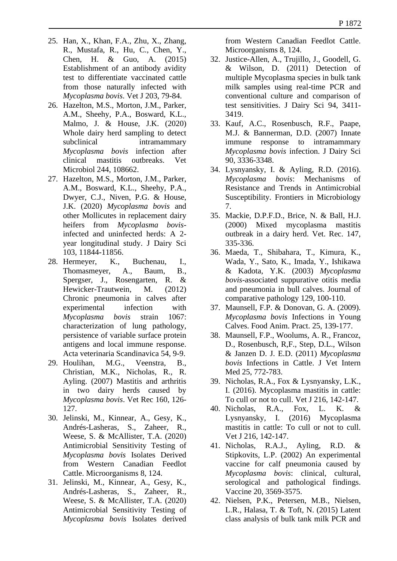- 25. Han, X., Khan, F.A., Zhu, X., Zhang, R., Mustafa, R., Hu, C., Chen, Y., Chen, H. & Guo, A. (2015) Establishment of an antibody avidity test to differentiate vaccinated cattle from those naturally infected with *Mycoplasma bovis*. Vet J 203, 79-84.
- 26. Hazelton, M.S., Morton, J.M., Parker, A.M., Sheehy, P.A., Bosward, K.L., Malmo, J. & House, J.K. (2020) Whole dairy herd sampling to detect subclinical intramammary *Mycoplasma bovis* infection after clinical mastitis outbreaks. Vet Microbiol 244, 108662.
- 27. Hazelton, M.S., Morton, J.M., Parker, A.M., Bosward, K.L., Sheehy, P.A., Dwyer, C.J., Niven, P.G. & House, J.K. (2020) *Mycoplasma bovis* and other Mollicutes in replacement dairy heifers from *Mycoplasma bovis*infected and uninfected herds: A 2 year longitudinal study. J Dairy Sci 103, 11844-11856.
- 28. Hermeyer, K., Buchenau, I., Thomasmeyer, A., Baum, B., Spergser, J., Rosengarten, R. & Hewicker-Trautwein, M. (2012) Chronic pneumonia in calves after experimental infection with *Mycoplasma bovis* strain 1067: characterization of lung pathology, persistence of variable surface protein antigens and local immune response. Acta veterinaria Scandinavica 54, 9-9.
- 29. Houlihan, M.G., Veenstra, B., Christian, M.K., Nicholas, R., R. Ayling. (2007) Mastitis and arthritis in two dairy herds caused by *Mycoplasma bovis*. Vet Rec 160, 126- 127.
- 30. Jelinski, M., Kinnear, A., Gesy, K., Andrés-Lasheras, S., Zaheer, R., Weese, S. & McAllister, T.A. (2020) Antimicrobial Sensitivity Testing of *Mycoplasma bovis* Isolates Derived from Western Canadian Feedlot Cattle. Microorganisms 8, 124.
- 31. Jelinski, M., Kinnear, A., Gesy, K., Andrés-Lasheras, S., Zaheer, R., Weese, S. & McAllister, T.A. (2020) Antimicrobial Sensitivity Testing of *Mycoplasma bovis* Isolates derived

from Western Canadian Feedlot Cattle. Microorganisms 8, 124.

- 32. Justice-Allen, A., Trujillo, J., Goodell, G. & Wilson, D. (2011) Detection of multiple Mycoplasma species in bulk tank milk samples using real-time PCR and conventional culture and comparison of test sensitivities. J Dairy Sci 94, 3411- 3419.
- 33. Kauf, A.C., Rosenbusch, R.F., Paape, M.J. & Bannerman, D.D. (2007) Innate immune response to intramammary *Mycoplasma bovis* infection. J Dairy Sci 90, 3336-3348.
- 34. Lysnyansky, I. & Ayling, R.D. (2016). *Mycoplasma bovis*: Mechanisms of Resistance and Trends in Antimicrobial Susceptibility. Frontiers in Microbiology 7.
- 35. Mackie, D.P.F.D., Brice, N. & Ball, H.J. (2000) Mixed mycoplasma mastitis outbreak in a dairy herd. Vet. Rec. 147, 335-336.
- 36. Maeda, T., Shibahara, T., Kimura, K., Wada, Y., Sato, K., Imada, Y., Ishikawa & Kadota, Y.K. (2003) *Mycoplasma bovis*-associated suppurative otitis media and pneumonia in bull calves. Journal of comparative pathology 129, 100-110.
- 37. Maunsell, F.P. & Donovan, G. A. (2009). *Mycoplasma bovis* Infections in Young Calves. Food Anim. Pract. 25, 139-177.
- 38. Maunsell, F.P., Woolums, A. R., Francoz, D., Rosenbusch, R,F., Step, D.L., Wilson & Janzen D. J. E.D. (2011) *Mycoplasma bovis* Infections in Cattle. J Vet Intern Med 25, 772-783.
- 39. Nicholas, R.A., Fox & Lysnyansky, L.K., I. (2016). Mycoplasma mastitis in cattle: To cull or not to cull. Vet J 216, 142-147.
- 40. Nicholas, R.A., Fox, L. K. & Lysnyansky, I. (2016) Mycoplasma mastitis in cattle: To cull or not to cull. Vet J 216, 142-147.
- 41. Nicholas, R.A.J., Ayling, R.D. & Stipkovits, L.P. (2002) An experimental vaccine for calf pneumonia caused by *Mycoplasma bovis*: clinical, cultural, serological and pathological findings. Vaccine 20, 3569-3575.
- 42. Nielsen, P.K., Petersen, M.B., Nielsen, L.R., Halasa, T. & Toft, N. (2015) Latent class analysis of bulk tank milk PCR and